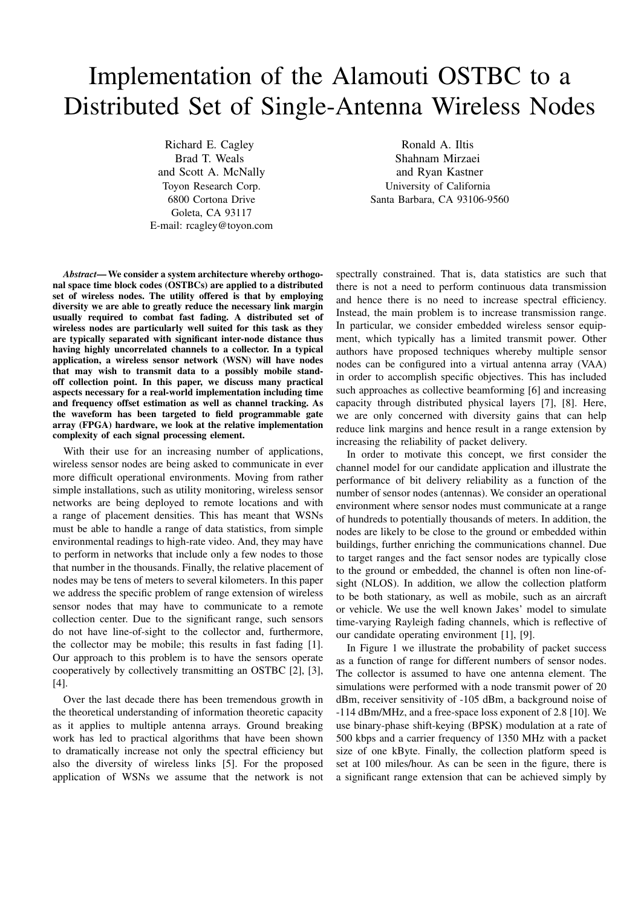# Implementation of the Alamouti OSTBC to a Distributed Set of Single-Antenna Wireless Nodes

Richard E. Cagley Brad T. Weals and Scott A. McNally Toyon Research Corp. 6800 Cortona Drive Goleta, CA 93117 E-mail: rcagley@toyon.com

Ronald A. Iltis Shahnam Mirzaei and Ryan Kastner University of California Santa Barbara, CA 93106-9560

*Abstract***— We consider a system architecture whereby orthogonal space time block codes (OSTBCs) are applied to a distributed set of wireless nodes. The utility offered is that by employing diversity we are able to greatly reduce the necessary link margin usually required to combat fast fading. A distributed set of wireless nodes are particularly well suited for this task as they are typically separated with significant inter-node distance thus having highly uncorrelated channels to a collector. In a typical application, a wireless sensor network (WSN) will have nodes that may wish to transmit data to a possibly mobile standoff collection point. In this paper, we discuss many practical aspects necessary for a real-world implementation including time and frequency offset estimation as well as channel tracking. As the waveform has been targeted to field programmable gate array (FPGA) hardware, we look at the relative implementation complexity of each signal processing element.**

With their use for an increasing number of applications, wireless sensor nodes are being asked to communicate in ever more difficult operational environments. Moving from rather simple installations, such as utility monitoring, wireless sensor networks are being deployed to remote locations and with a range of placement densities. This has meant that WSNs must be able to handle a range of data statistics, from simple environmental readings to high-rate video. And, they may have to perform in networks that include only a few nodes to those that number in the thousands. Finally, the relative placement of nodes may be tens of meters to several kilometers. In this paper we address the specific problem of range extension of wireless sensor nodes that may have to communicate to a remote collection center. Due to the significant range, such sensors do not have line-of-sight to the collector and, furthermore, the collector may be mobile; this results in fast fading [1]. Our approach to this problem is to have the sensors operate cooperatively by collectively transmitting an OSTBC [2], [3], [4].

Over the last decade there has been tremendous growth in the theoretical understanding of information theoretic capacity as it applies to multiple antenna arrays. Ground breaking work has led to practical algorithms that have been shown to dramatically increase not only the spectral efficiency but also the diversity of wireless links [5]. For the proposed application of WSNs we assume that the network is not spectrally constrained. That is, data statistics are such that there is not a need to perform continuous data transmission and hence there is no need to increase spectral efficiency. Instead, the main problem is to increase transmission range. In particular, we consider embedded wireless sensor equipment, which typically has a limited transmit power. Other authors have proposed techniques whereby multiple sensor nodes can be configured into a virtual antenna array (VAA) in order to accomplish specific objectives. This has included such approaches as collective beamforming [6] and increasing capacity through distributed physical layers [7], [8]. Here, we are only concerned with diversity gains that can help reduce link margins and hence result in a range extension by increasing the reliability of packet delivery.

In order to motivate this concept, we first consider the channel model for our candidate application and illustrate the performance of bit delivery reliability as a function of the number of sensor nodes (antennas). We consider an operational environment where sensor nodes must communicate at a range of hundreds to potentially thousands of meters. In addition, the nodes are likely to be close to the ground or embedded within buildings, further enriching the communications channel. Due to target ranges and the fact sensor nodes are typically close to the ground or embedded, the channel is often non line-ofsight (NLOS). In addition, we allow the collection platform to be both stationary, as well as mobile, such as an aircraft or vehicle. We use the well known Jakes' model to simulate time-varying Rayleigh fading channels, which is reflective of our candidate operating environment [1], [9].

In Figure 1 we illustrate the probability of packet success as a function of range for different numbers of sensor nodes. The collector is assumed to have one antenna element. The simulations were performed with a node transmit power of 20 dBm, receiver sensitivity of -105 dBm, a background noise of -114 dBm/MHz, and a free-space loss exponent of 2.8 [10]. We use binary-phase shift-keying (BPSK) modulation at a rate of 500 kbps and a carrier frequency of 1350 MHz with a packet size of one kByte. Finally, the collection platform speed is set at 100 miles/hour. As can be seen in the figure, there is a significant range extension that can be achieved simply by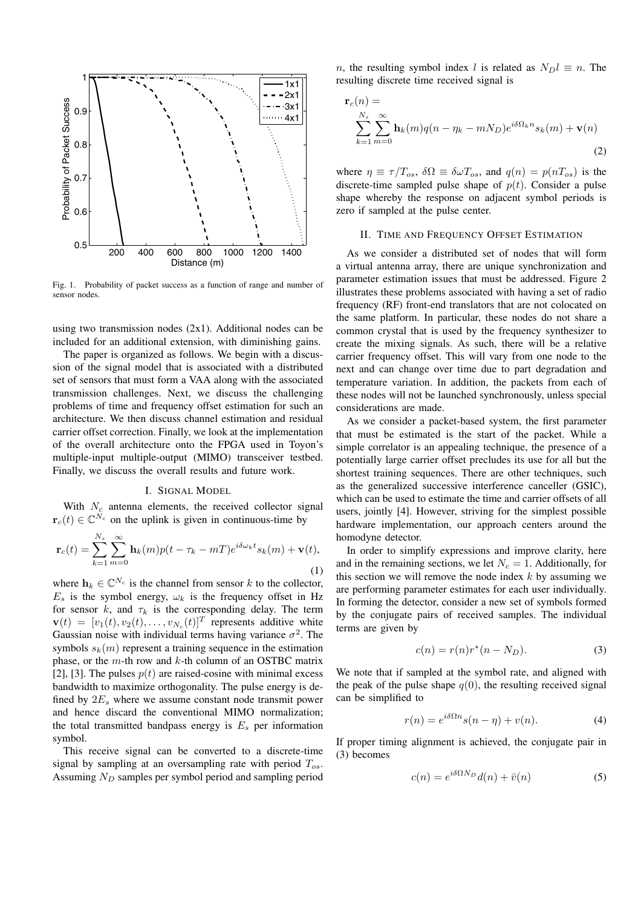

Fig. 1. Probability of packet success as a function of range and number of sensor nodes.

using two transmission nodes (2x1). Additional nodes can be included for an additional extension, with diminishing gains.

The paper is organized as follows. We begin with a discussion of the signal model that is associated with a distributed set of sensors that must form a VAA along with the associated transmission challenges. Next, we discuss the challenging problems of time and frequency offset estimation for such an architecture. We then discuss channel estimation and residual carrier offset correction. Finally, we look at the implementation of the overall architecture onto the FPGA used in Toyon's multiple-input multiple-output (MIMO) transceiver testbed. Finally, we discuss the overall results and future work.

# I. SIGNAL MODEL

With  $N_c$  antenna elements, the received collector signal  $\mathbf{r}_c(t) \in \mathbb{C}^{N_c}$  on the uplink is given in continuous-time by

$$
\mathbf{r}_c(t) = \sum_{k=1}^{N_s} \sum_{m=0}^{\infty} \mathbf{h}_k(m) p(t - \tau_k - mT) e^{i\delta \omega_k t} s_k(m) + \mathbf{v}(t),
$$
\n(1)

where  $\mathbf{h}_k \in \mathbb{C}^{N_c}$  is the channel from sensor k to the collector,  $E_s$  is the symbol energy,  $\omega_k$  is the frequency offset in Hz for sensor k, and  $\tau_k$  is the corresponding delay. The term  $\mathbf{v}(t)=[v_1(t), v_2(t),\ldots,v_{N_c}(t)]^T$  represents additive white Gaussian noise with individual terms having variance  $\sigma^2$ . The symbols  $s_k(m)$  represent a training sequence in the estimation phase, or the  $m$ -th row and  $k$ -th column of an OSTBC matrix [2], [3]. The pulses  $p(t)$  are raised-cosine with minimal excess bandwidth to maximize orthogonality. The pulse energy is defined by  $2E_s$  where we assume constant node transmit power and hence discard the conventional MIMO normalization; the total transmitted bandpass energy is  $E<sub>s</sub>$  per information symbol.

This receive signal can be converted to a discrete-time signal by sampling at an oversampling rate with period  $T_{os}$ . Assuming  $N_D$  samples per symbol period and sampling period

n, the resulting symbol index l is related as  $N_D l \equiv n$ . The resulting discrete time received signal is

$$
\mathbf{r}_c(n) = \sum_{k=1}^{N_s} \sum_{m=0}^{\infty} \mathbf{h}_k(m) q(n - \eta_k - mN_D) e^{i\delta\Omega_k n} s_k(m) + \mathbf{v}(n)
$$
\n(2)

where  $\eta \equiv \tau / T_{os}$ ,  $\delta \Omega \equiv \delta \omega T_{os}$ , and  $q(n) = p(nT_{os})$  is the discrete-time sampled pulse shape of  $p(t)$ . Consider a pulse shape whereby the response on adjacent symbol periods is zero if sampled at the pulse center.

## II. TIME AND FREQUENCY OFFSET ESTIMATION

As we consider a distributed set of nodes that will form a virtual antenna array, there are unique synchronization and parameter estimation issues that must be addressed. Figure 2 illustrates these problems associated with having a set of radio frequency (RF) front-end translators that are not colocated on the same platform. In particular, these nodes do not share a common crystal that is used by the frequency synthesizer to create the mixing signals. As such, there will be a relative carrier frequency offset. This will vary from one node to the next and can change over time due to part degradation and temperature variation. In addition, the packets from each of these nodes will not be launched synchronously, unless special considerations are made.

As we consider a packet-based system, the first parameter that must be estimated is the start of the packet. While a simple correlator is an appealing technique, the presence of a potentially large carrier offset precludes its use for all but the shortest training sequences. There are other techniques, such as the generalized successive interference canceller (GSIC), which can be used to estimate the time and carrier offsets of all users, jointly [4]. However, striving for the simplest possible hardware implementation, our approach centers around the homodyne detector.

In order to simplify expressions and improve clarity, here and in the remaining sections, we let  $N_c = 1$ . Additionally, for this section we will remove the node index  $k$  by assuming we are performing parameter estimates for each user individually. In forming the detector, consider a new set of symbols formed by the conjugate pairs of received samples. The individual terms are given by

$$
c(n) = r(n)r^*(n - N_D). \tag{3}
$$

We note that if sampled at the symbol rate, and aligned with the peak of the pulse shape  $q(0)$ , the resulting received signal can be simplified to

$$
r(n) = e^{i\delta\Omega n} s(n-\eta) + v(n). \tag{4}
$$

If proper timing alignment is achieved, the conjugate pair in (3) becomes

$$
c(n) = e^{i\delta\Omega N_D}d(n) + \bar{v}(n)
$$
 (5)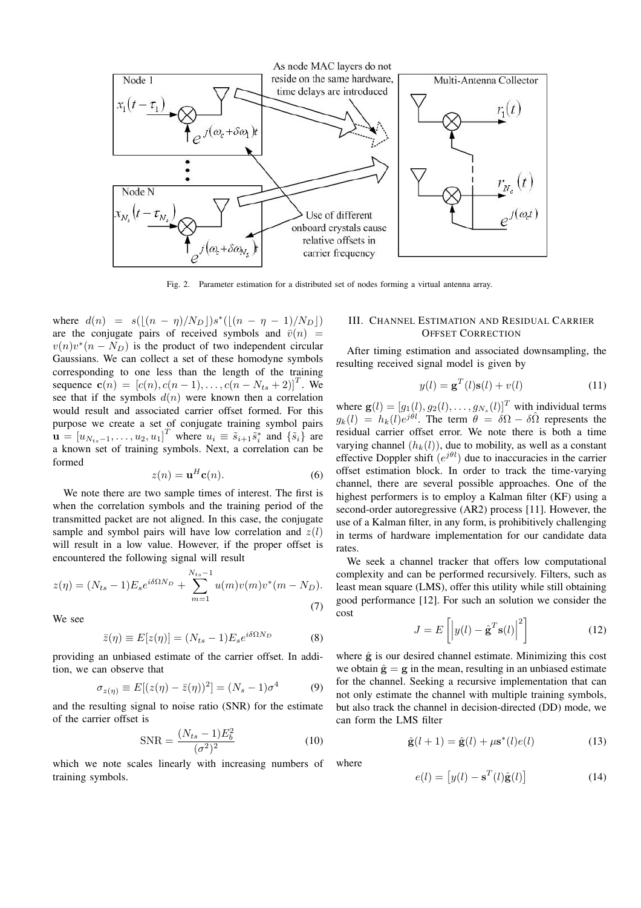

Fig. 2. Parameter estimation for a distributed set of nodes forming a virtual antenna array.

where  $d(n) = s(\lfloor (n - \eta)/N_D \rfloor)s^*(\lfloor (n - \eta - 1)/N_D \rfloor)$ are the conjugate pairs of received symbols and  $\bar{v}(n)$  =  $v(n)v^*(n - N_D)$  is the product of two independent circular Gaussians. We can collect a set of these homodyne symbols corresponding to one less than the length of the training sequence  $c(n)=[c(n), c(n-1),..., c(n-N_{ts}+2)]^T$ . We see that if the symbols  $d(n)$  were known then a correlation would result and associated carrier offset formed. For this purpose we create a set of conjugate training symbol pairs  $\mathbf{u} = [u_{N_{ts}-1}, \dots, u_2, u_1]^T$  where  $u_i \equiv \tilde{s}_{i+1} \tilde{s}_i^*$  and  $\{\tilde{s}_i\}$  are a known set of training symbols. Next, a correlation can be formed

$$
z(n) = \mathbf{u}^H \mathbf{c}(n).
$$
 (6)

We note there are two sample times of interest. The first is when the correlation symbols and the training period of the transmitted packet are not aligned. In this case, the conjugate sample and symbol pairs will have low correlation and  $z(l)$ will result in a low value. However, if the proper offset is encountered the following signal will result

$$
z(\eta) = (N_{ts} - 1)E_s e^{i\delta\Omega N_D} + \sum_{m=1}^{N_{ts}-1} u(m)v(m)v^*(m - N_D).
$$
\n(7)

We see

$$
\bar{z}(\eta) \equiv E[z(\eta)] = (N_{ts} - 1)E_s e^{i\delta\Omega N_D} \tag{8}
$$

providing an unbiased estimate of the carrier offset. In addition, we can observe that

$$
\sigma_{z(\eta)} \equiv E[(z(\eta) - \bar{z}(\eta))^2] = (N_s - 1)\sigma^4 \tag{9}
$$

and the resulting signal to noise ratio (SNR) for the estimate of the carrier offset is

$$
SNR = \frac{(N_{ts} - 1)E_b^2}{(\sigma^2)^2}
$$
 (10)

which we note scales linearly with increasing numbers of training symbols.

# III. CHANNEL ESTIMATION AND RESIDUAL CARRIER OFFSET CORRECTION

After timing estimation and associated downsampling, the resulting received signal model is given by

$$
y(l) = \mathbf{g}^{T}(l)\mathbf{s}(l) + v(l)
$$
\n(11)

where  $\mathbf{g}(l)=[g_1(l), g_2(l),\ldots,g_{N_s}(l)]^T$  with individual terms  $g_k(l) = h_k(l)e^{j\theta l}$ . The term  $\theta = \delta\Omega - \delta\hat{\Omega}$  represents the residual carrier offset error. We note there is both a time varying channel  $(h_k(l))$ , due to mobility, as well as a constant effective Doppler shift  $(e^{j\theta l})$  due to inaccuracies in the carrier offset estimation block. In order to track the time-varying channel, there are several possible approaches. One of the highest performers is to employ a Kalman filter (KF) using a second-order autoregressive (AR2) process [11]. However, the use of a Kalman filter, in any form, is prohibitively challenging in terms of hardware implementation for our candidate data rates.

We seek a channel tracker that offers low computational complexity and can be performed recursively. Filters, such as least mean square (LMS), offer this utility while still obtaining good performance [12]. For such an solution we consider the cost

$$
J = E\left[\left|y(l) - \hat{\mathbf{g}}^T \mathbf{s}(l)\right|^2\right]
$$
 (12)

where  $\hat{g}$  is our desired channel estimate. Minimizing this cost we obtain  $\hat{\mathbf{g}} = \mathbf{g}$  in the mean, resulting in an unbiased estimate for the channel. Seeking a recursive implementation that can not only estimate the channel with multiple training symbols, but also track the channel in decision-directed (DD) mode, we can form the LMS filter

$$
\hat{\mathbf{g}}(l+1) = \hat{\mathbf{g}}(l) + \mu \mathbf{s}^*(l)e(l) \tag{13}
$$

where

$$
e(l) = [y(l) - \mathbf{s}^{T}(l)\hat{\mathbf{g}}(l)] \tag{14}
$$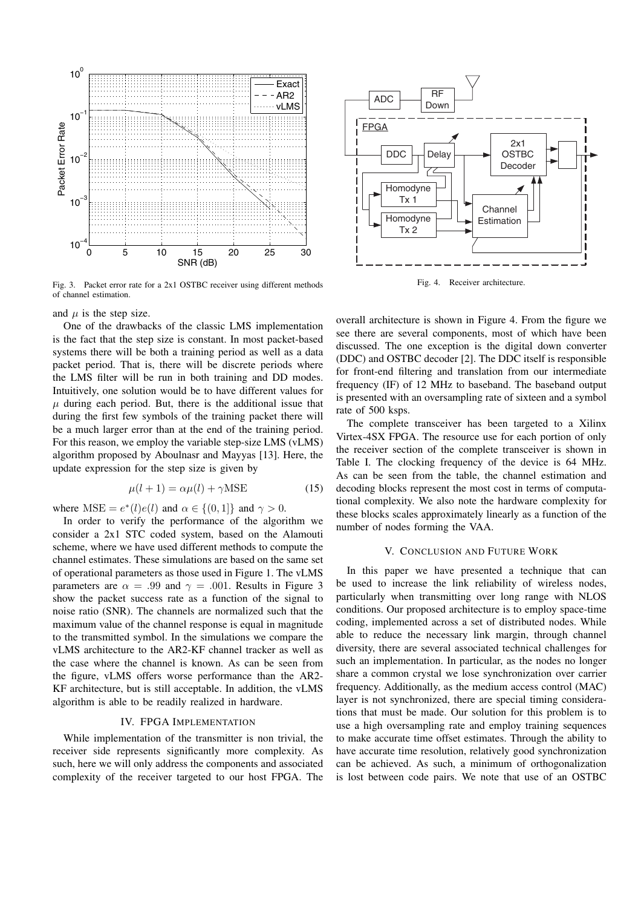

Fig. 3. Packet error rate for a 2x1 OSTBC receiver using different methods of channel estimation.

and  $\mu$  is the step size.

One of the drawbacks of the classic LMS implementation is the fact that the step size is constant. In most packet-based systems there will be both a training period as well as a data packet period. That is, there will be discrete periods where the LMS filter will be run in both training and DD modes. Intuitively, one solution would be to have different values for  $\mu$  during each period. But, there is the additional issue that during the first few symbols of the training packet there will be a much larger error than at the end of the training period. For this reason, we employ the variable step-size LMS (vLMS) algorithm proposed by Aboulnasr and Mayyas [13]. Here, the update expression for the step size is given by

$$
\mu(l+1) = \alpha \mu(l) + \gamma \text{MSE} \tag{15}
$$

where  $MSE = e^*(l)e(l)$  and  $\alpha \in \{(0, 1]\}\$ and  $\gamma > 0$ .

In order to verify the performance of the algorithm we consider a 2x1 STC coded system, based on the Alamouti scheme, where we have used different methods to compute the channel estimates. These simulations are based on the same set of operational parameters as those used in Figure 1. The vLMS parameters are  $\alpha = .99$  and  $\gamma = .001$ . Results in Figure 3 show the packet success rate as a function of the signal to noise ratio (SNR). The channels are normalized such that the maximum value of the channel response is equal in magnitude to the transmitted symbol. In the simulations we compare the vLMS architecture to the AR2-KF channel tracker as well as the case where the channel is known. As can be seen from the figure, vLMS offers worse performance than the AR2- KF architecture, but is still acceptable. In addition, the vLMS algorithm is able to be readily realized in hardware.

## IV. FPGA IMPLEMENTATION

While implementation of the transmitter is non trivial, the receiver side represents significantly more complexity. As such, here we will only address the components and associated complexity of the receiver targeted to our host FPGA. The



Fig. 4. Receiver architecture.

overall architecture is shown in Figure 4. From the figure we see there are several components, most of which have been discussed. The one exception is the digital down converter (DDC) and OSTBC decoder [2]. The DDC itself is responsible for front-end filtering and translation from our intermediate frequency (IF) of 12 MHz to baseband. The baseband output is presented with an oversampling rate of sixteen and a symbol rate of 500 ksps.

The complete transceiver has been targeted to a Xilinx Virtex-4SX FPGA. The resource use for each portion of only the receiver section of the complete transceiver is shown in Table I. The clocking frequency of the device is 64 MHz. As can be seen from the table, the channel estimation and decoding blocks represent the most cost in terms of computational complexity. We also note the hardware complexity for these blocks scales approximately linearly as a function of the number of nodes forming the VAA.

# V. CONCLUSION AND FUTURE WORK

In this paper we have presented a technique that can be used to increase the link reliability of wireless nodes, particularly when transmitting over long range with NLOS conditions. Our proposed architecture is to employ space-time coding, implemented across a set of distributed nodes. While able to reduce the necessary link margin, through channel diversity, there are several associated technical challenges for such an implementation. In particular, as the nodes no longer share a common crystal we lose synchronization over carrier frequency. Additionally, as the medium access control (MAC) layer is not synchronized, there are special timing considerations that must be made. Our solution for this problem is to use a high oversampling rate and employ training sequences to make accurate time offset estimates. Through the ability to have accurate time resolution, relatively good synchronization can be achieved. As such, a minimum of orthogonalization is lost between code pairs. We note that use of an OSTBC